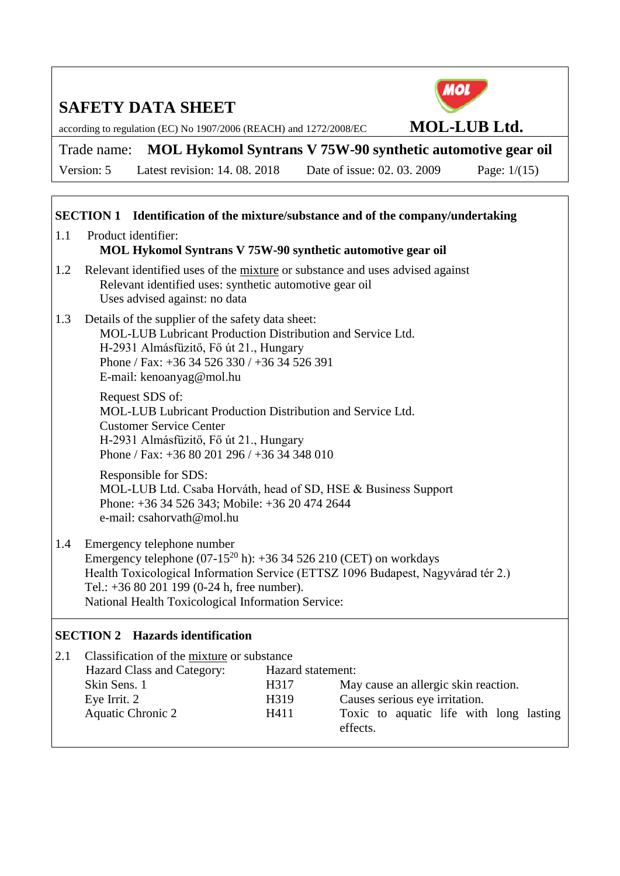

according to regulation (EC) No 1907/2006 (REACH) and 1272/2008/EC **MOL-LUB Ltd.**

Trade name: **MOL Hykomol Syntrans V 75W-90 synthetic automotive gear oil**

Version: 5 Latest revision: 14. 08. 2018 Date of issue: 02. 03. 2009 Page: 1/(15)

### **SECTION 1 Identification of the mixture/substance and of the company/undertaking**

- 1.1 Product identifier: **MOL Hykomol Syntrans V 75W-90 synthetic automotive gear oil**
- 1.2 Relevant identified uses of the mixture or substance and uses advised against Relevant identified uses: synthetic automotive gear oil Uses advised against: no data
- 1.3 Details of the supplier of the safety data sheet: MOL-LUB Lubricant Production Distribution and Service Ltd. H-2931 Almásfüzitő, Fő út 21., Hungary Phone / Fax: +36 34 526 330 / +36 34 526 391 E-mail: kenoanyag@mol.hu

Request SDS of: MOL-LUB Lubricant Production Distribution and Service Ltd. Customer Service Center H-2931 Almásfüzitő, Fő út 21., Hungary Phone / Fax: +36 80 201 296 / +36 34 348 010

Responsible for SDS: MOL-LUB Ltd. Csaba Horváth, head of SD, HSE & Business Support Phone: +36 34 526 343; Mobile: +36 20 474 2644 e-mail: csahorvath@mol.hu

1.4 Emergency telephone number

Emergency telephone  $(07-15^{20} h)$ : +36 34 526 210 (CET) on workdays Health Toxicological Information Service (ETTSZ 1096 Budapest, Nagyvárad tér 2.) Tel.: +36 80 201 199 (0-24 h, free number). National Health Toxicological Information Service:

### **SECTION 2 Hazards identification**

| 2.1 | Classification of the mixture or substance |                   |                                                     |
|-----|--------------------------------------------|-------------------|-----------------------------------------------------|
|     | Hazard Class and Category:                 | Hazard statement: |                                                     |
|     | Skin Sens. 1                               | H317              | May cause an allergic skin reaction.                |
|     | Eye Irrit. 2                               | H319              | Causes serious eye irritation.                      |
|     | <b>Aquatic Chronic 2</b>                   | H411              | Toxic to aquatic life with long lasting<br>effects. |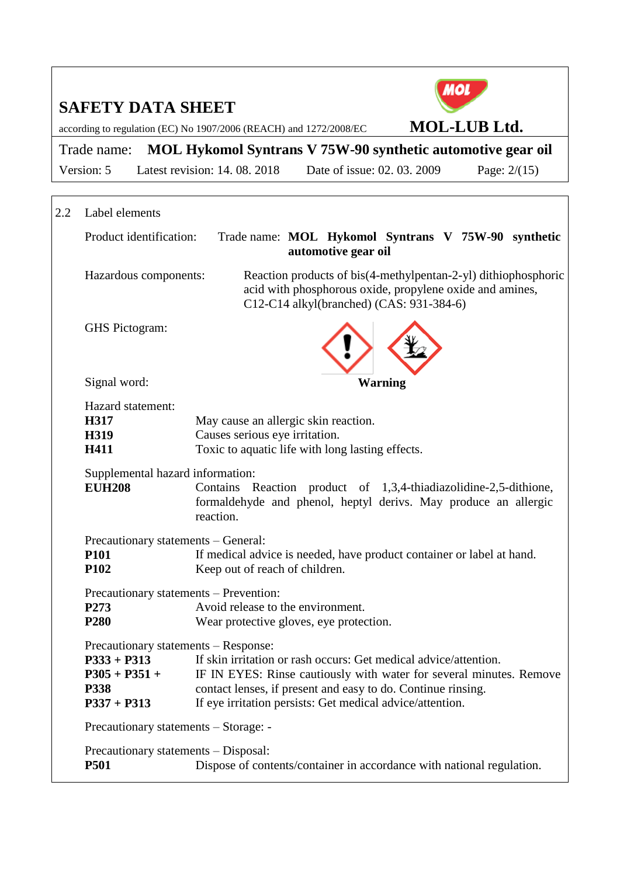

according to regulation (EC) No 1907/2006 (REACH) and 1272/2008/EC **MOL-LUB Ltd.**

Trade name: **MOL Hykomol Syntrans V 75W-90 synthetic automotive gear oil**

Version: 5 Latest revision: 14. 08. 2018 Date of issue: 02. 03. 2009 Page: 2/(15)

| 2.2                                                                                                                                                                                                                                                                                                                                                                                                                                                                                                                                                                                                                                                                                                      | Label elements                                                                                                                                                                                        |                                                                                                                                                                        |  |                                                     |                                                                       |
|----------------------------------------------------------------------------------------------------------------------------------------------------------------------------------------------------------------------------------------------------------------------------------------------------------------------------------------------------------------------------------------------------------------------------------------------------------------------------------------------------------------------------------------------------------------------------------------------------------------------------------------------------------------------------------------------------------|-------------------------------------------------------------------------------------------------------------------------------------------------------------------------------------------------------|------------------------------------------------------------------------------------------------------------------------------------------------------------------------|--|-----------------------------------------------------|-----------------------------------------------------------------------|
|                                                                                                                                                                                                                                                                                                                                                                                                                                                                                                                                                                                                                                                                                                          | Product identification:                                                                                                                                                                               | Trade name: MOL Hykomol Syntrans V 75W-90 synthetic<br>automotive gear oil                                                                                             |  |                                                     |                                                                       |
|                                                                                                                                                                                                                                                                                                                                                                                                                                                                                                                                                                                                                                                                                                          | Hazardous components:                                                                                                                                                                                 | Reaction products of bis(4-methylpentan-2-yl) dithiophosphoric<br>acid with phosphorous oxide, propylene oxide and amines,<br>C12-C14 alkyl(branched) (CAS: 931-384-6) |  |                                                     |                                                                       |
|                                                                                                                                                                                                                                                                                                                                                                                                                                                                                                                                                                                                                                                                                                          | GHS Pictogram:                                                                                                                                                                                        |                                                                                                                                                                        |  |                                                     |                                                                       |
|                                                                                                                                                                                                                                                                                                                                                                                                                                                                                                                                                                                                                                                                                                          | Signal word:                                                                                                                                                                                          | <b>Warning</b>                                                                                                                                                         |  |                                                     |                                                                       |
| Hazard statement:<br>H317<br>May cause an allergic skin reaction.<br>Causes serious eye irritation.<br>H319<br>Toxic to aquatic life with long lasting effects.<br>H411                                                                                                                                                                                                                                                                                                                                                                                                                                                                                                                                  |                                                                                                                                                                                                       |                                                                                                                                                                        |  |                                                     |                                                                       |
|                                                                                                                                                                                                                                                                                                                                                                                                                                                                                                                                                                                                                                                                                                          | Supplemental hazard information:<br><b>EUH208</b><br>Contains Reaction product of 1,3,4-thiadiazolidine-2,5-dithione,<br>formaldehyde and phenol, heptyl derivs. May produce an allergic<br>reaction. |                                                                                                                                                                        |  |                                                     |                                                                       |
| Precautionary statements - General:<br><b>P101</b><br>If medical advice is needed, have product container or label at hand.<br>P102<br>Keep out of reach of children.<br>Precautionary statements – Prevention:<br>Avoid release to the environment.<br>P273<br>P <sub>280</sub><br>Wear protective gloves, eye protection.<br>Precautionary statements - Response:<br>$P333 + P313$<br>If skin irritation or rash occurs: Get medical advice/attention.<br>$P305 + P351 +$<br>IF IN EYES: Rinse cautiously with water for several minutes. Remove<br>contact lenses, if present and easy to do. Continue rinsing.<br>P338<br>If eye irritation persists: Get medical advice/attention.<br>$P337 + P313$ |                                                                                                                                                                                                       |                                                                                                                                                                        |  |                                                     |                                                                       |
|                                                                                                                                                                                                                                                                                                                                                                                                                                                                                                                                                                                                                                                                                                          |                                                                                                                                                                                                       |                                                                                                                                                                        |  | Precautionary statements - Storage: -               |                                                                       |
|                                                                                                                                                                                                                                                                                                                                                                                                                                                                                                                                                                                                                                                                                                          |                                                                                                                                                                                                       |                                                                                                                                                                        |  | Precautionary statements – Disposal:<br><b>P501</b> | Dispose of contents/container in accordance with national regulation. |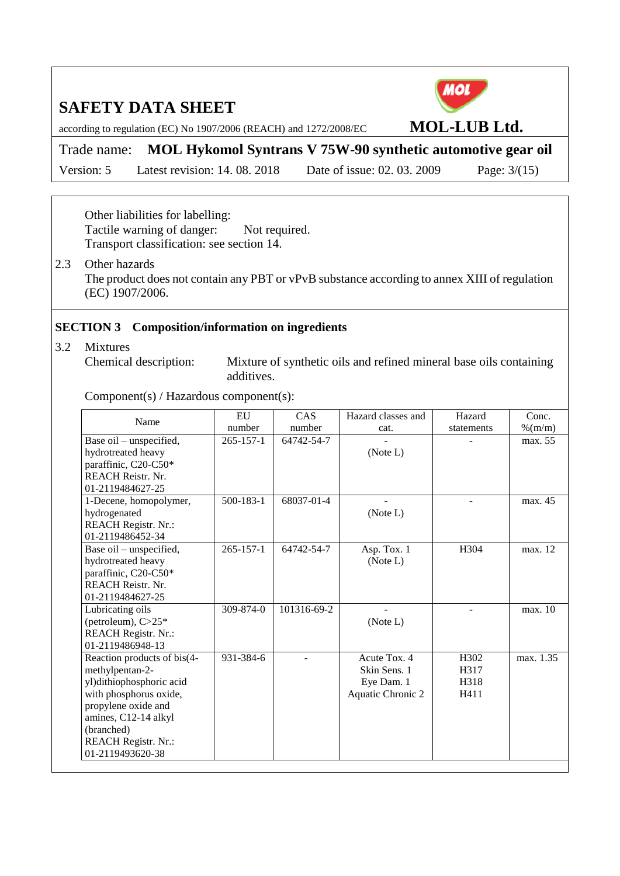

according to regulation (EC) No 1907/2006 (REACH) and 1272/2008/EC **MOL-LUB Ltd.**

Trade name: **MOL Hykomol Syntrans V 75W-90 synthetic automotive gear oil**

Version: 5 Latest revision: 14. 08. 2018 Date of issue: 02. 03. 2009 Page: 3/(15)

Other liabilities for labelling: Tactile warning of danger: Not required. Transport classification: see section 14.

2.3 Other hazards The product does not contain any PBT or vPvB substance according to annex XIII of regulation (EC) 1907/2006.

#### **SECTION 3 Composition/information on ingredients**

3.2 Mixtures

Chemical description: Mixture of synthetic oils and refined mineral base oils containing additives.

Component(s) / Hazardous component(s):

| Name                        | EU              | CAS         | Hazard classes and | Hazard           | Conc.     |
|-----------------------------|-----------------|-------------|--------------------|------------------|-----------|
|                             | number          | number      | cat.               | statements       | $%$ (m/m) |
| Base oil - unspecified,     | $265 - 157 - 1$ | 64742-54-7  |                    |                  | max. 55   |
| hydrotreated heavy          |                 |             | (Note L)           |                  |           |
| paraffinic, C20-C50*        |                 |             |                    |                  |           |
| <b>REACH Reistr. Nr.</b>    |                 |             |                    |                  |           |
| 01-2119484627-25            |                 |             |                    |                  |           |
| 1-Decene, homopolymer,      | 500-183-1       | 68037-01-4  |                    |                  | max. 45   |
| hydrogenated                |                 |             | (Note L)           |                  |           |
| <b>REACH Registr. Nr.:</b>  |                 |             |                    |                  |           |
| 01-2119486452-34            |                 |             |                    |                  |           |
| Base oil - unspecified,     | $265 - 157 - 1$ | 64742-54-7  | Asp. Tox. 1        | H <sub>304</sub> | max. 12   |
| hydrotreated heavy          |                 |             | (Note L)           |                  |           |
| paraffinic, C20-C50*        |                 |             |                    |                  |           |
| <b>REACH Reistr. Nr.</b>    |                 |             |                    |                  |           |
| 01-2119484627-25            |                 |             |                    |                  |           |
| Lubricating oils            | $309 - 874 - 0$ | 101316-69-2 |                    |                  | max. 10   |
| (petroleum), $C>25*$        |                 |             | (Note L)           |                  |           |
| <b>REACH Registr. Nr.:</b>  |                 |             |                    |                  |           |
| 01-2119486948-13            |                 |             |                    |                  |           |
| Reaction products of bis(4- | 931-384-6       |             | Acute Tox. 4       | H302             | max. 1.35 |
| methylpentan-2-             |                 |             | Skin Sens. 1       | H317             |           |
| yl)dithiophosphoric acid    |                 |             | Eye Dam. 1         | H318             |           |
| with phosphorus oxide,      |                 |             | Aquatic Chronic 2  | H411             |           |
| propylene oxide and         |                 |             |                    |                  |           |
| amines, C12-14 alkyl        |                 |             |                    |                  |           |
| (branched)                  |                 |             |                    |                  |           |
| <b>REACH Registr. Nr.:</b>  |                 |             |                    |                  |           |
| 01-2119493620-38            |                 |             |                    |                  |           |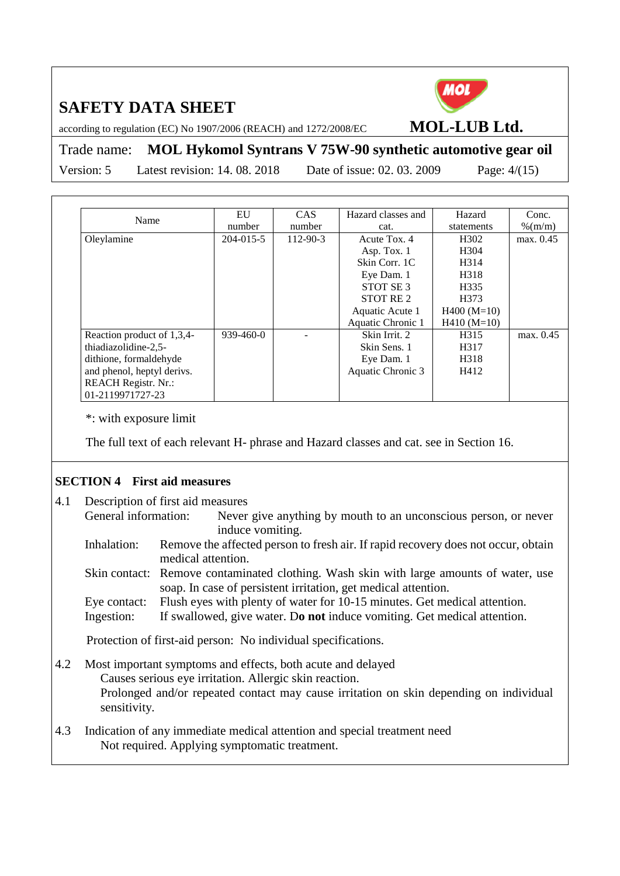

according to regulation (EC) No 1907/2006 (REACH) and 1272/2008/EC **MOL-LUB Ltd.**

Trade name: **MOL Hykomol Syntrans V 75W-90 synthetic automotive gear oil**

Version: 5 Latest revision: 14. 08. 2018 Date of issue: 02. 03. 2009 Page: 4/(15)

| Name                       | EU              | CAS.     | Hazard classes and   | Hazard            | Conc.     |
|----------------------------|-----------------|----------|----------------------|-------------------|-----------|
|                            | number          | number   | cat.                 | statements        | $%$ (m/m) |
| Oleylamine                 | 204-015-5       | 112-90-3 | Acute Tox. 4         | H <sub>3</sub> 02 | max. 0.45 |
|                            |                 |          | Asp. Tox. 1          | H304              |           |
|                            |                 |          | Skin Corr. 1C        | H314              |           |
|                            |                 |          | Eye Dam. 1           | H318              |           |
|                            |                 |          | STOT SE <sub>3</sub> | H335              |           |
|                            |                 |          | STOT RE 2            | H373              |           |
|                            |                 |          | Aquatic Acute 1      | $H400 (M=10)$     |           |
|                            |                 |          | Aquatic Chronic 1    | $H410 (M=10)$     |           |
| Reaction product of 1,3,4- | $939 - 460 - 0$ |          | Skin Irrit. 2        | H315              | max. 0.45 |
| thiadiazolidine-2.5-       |                 |          | Skin Sens. 1         | H317              |           |
| dithione, formaldehyde     |                 |          | Eye Dam. 1           | H318              |           |
| and phenol, heptyl derivs. |                 |          | Aquatic Chronic 3    | H412              |           |
| REACH Registr. Nr.:        |                 |          |                      |                   |           |
| 01-2119971727-23           |                 |          |                      |                   |           |

\*: with exposure limit

The full text of each relevant H- phrase and Hazard classes and cat. see in Section 16.

#### **SECTION 4 First aid measures**

4.1 Description of first aid measures General information: Never give anything by mouth to an unconscious person, or never induce vomiting. Inhalation: Remove the affected person to fresh air. If rapid recovery does not occur, obtain medical attention. Skin contact: Remove contaminated clothing. Wash skin with large amounts of water, use soap. In case of persistent irritation, get medical attention. Eye contact: Flush eyes with plenty of water for 10-15 minutes. Get medical attention. Ingestion: If swallowed, give water. D**o not** induce vomiting. Get medical attention. Protection of first-aid person: No individual specifications. 4.2 Most important symptoms and effects, both acute and delayed Causes serious eye irritation. Allergic skin reaction. Prolonged and/or repeated contact may cause irritation on skin depending on individual sensitivity. 4.3 Indication of any immediate medical attention and special treatment need Not required. Applying symptomatic treatment.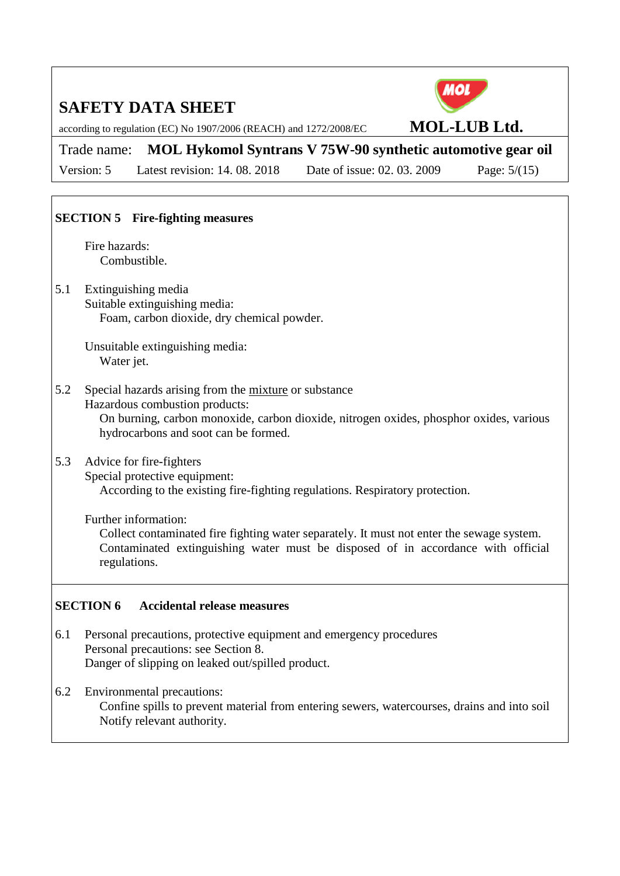

according to regulation (EC) No 1907/2006 (REACH) and 1272/2008/EC **MOL-LUB Ltd.**

Trade name: **MOL Hykomol Syntrans V 75W-90 synthetic automotive gear oil** Version: 5 Latest revision: 14. 08. 2018 Date of issue: 02. 03. 2009 Page: 5/(15)

### **SECTION 5 Fire-fighting measures**

Fire hazards: Combustible.

5.1 Extinguishing media Suitable extinguishing media: Foam, carbon dioxide, dry chemical powder.

> Unsuitable extinguishing media: Water jet.

5.2 Special hazards arising from the mixture or substance Hazardous combustion products: On burning, carbon monoxide, carbon dioxide, nitrogen oxides, phosphor oxides, various hydrocarbons and soot can be formed.

### 5.3 Advice for fire-fighters

Special protective equipment: According to the existing fire-fighting regulations. Respiratory protection.

#### Further information:

Collect contaminated fire fighting water separately. It must not enter the sewage system. Contaminated extinguishing water must be disposed of in accordance with official regulations.

#### **SECTION 6 Accidental release measures**

- 6.1 Personal precautions, protective equipment and emergency procedures Personal precautions: see Section 8. Danger of slipping on leaked out/spilled product.
- 6.2 Environmental precautions: Confine spills to prevent material from entering sewers, watercourses, drains and into soil Notify relevant authority.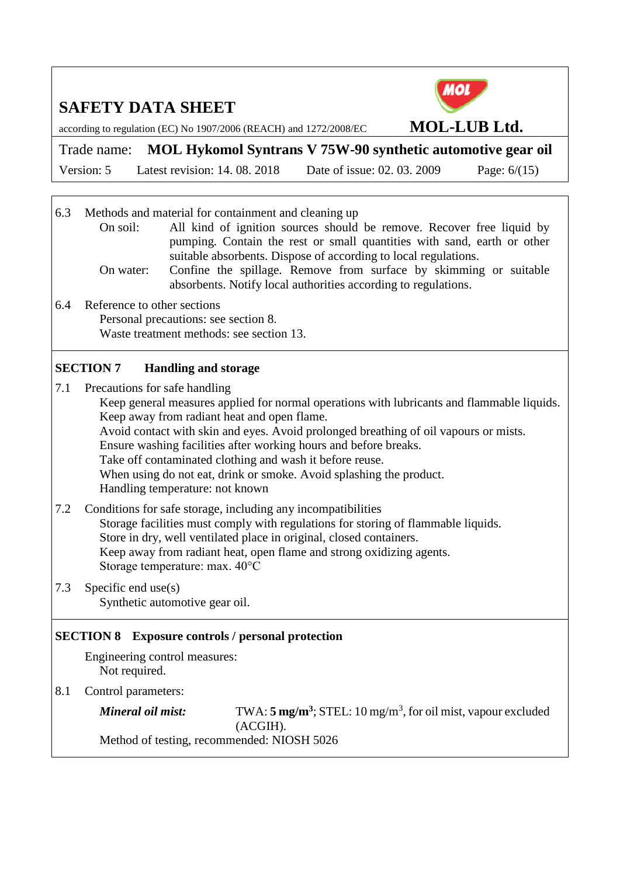

according to regulation (EC) No 1907/2006 (REACH) and 1272/2008/EC **MOL-LUB Ltd.**

Trade name: **MOL Hykomol Syntrans V 75W-90 synthetic automotive gear oil**

Version: 5 Latest revision: 14. 08. 2018 Date of issue: 02. 03. 2009 Page: 6/(15)

6.3 Methods and material for containment and cleaning up On soil: All kind of ignition sources should be remove. Recover free liquid by pumping. Contain the rest or small quantities with sand, earth or other suitable absorbents. Dispose of according to local regulations. On water: Confine the spillage. Remove from surface by skimming or suitable absorbents. Notify local authorities according to regulations. 6.4 Reference to other sections Personal precautions: see section 8. Waste treatment methods: see section 13.

#### **SECTION 7 Handling and storage**

7.1 Precautions for safe handling Keep general measures applied for normal operations with lubricants and flammable liquids. Keep away from radiant heat and open flame. Avoid contact with skin and eyes. Avoid prolonged breathing of oil vapours or mists. Ensure washing facilities after working hours and before breaks. Take off contaminated clothing and wash it before reuse. When using do not eat, drink or smoke. Avoid splashing the product. Handling temperature: not known 7.2 Conditions for safe storage, including any incompatibilities

Storage facilities must comply with regulations for storing of flammable liquids. Store in dry, well ventilated place in original, closed containers. Keep away from radiant heat, open flame and strong oxidizing agents. Storage temperature: max. 40°C

7.3 Specific end use(s) Synthetic automotive gear oil.

#### **SECTION 8 Exposure controls / personal protection**

Engineering control measures: Not required.

8.1 Control parameters:

| Mineral oil mist:                          | TWA: $5 \text{ mg/m}^3$ ; STEL: 10 mg/m <sup>3</sup> , for oil mist, vapour excluded |
|--------------------------------------------|--------------------------------------------------------------------------------------|
|                                            | (ACGIH).                                                                             |
| Method of testing, recommended: NIOSH 5026 |                                                                                      |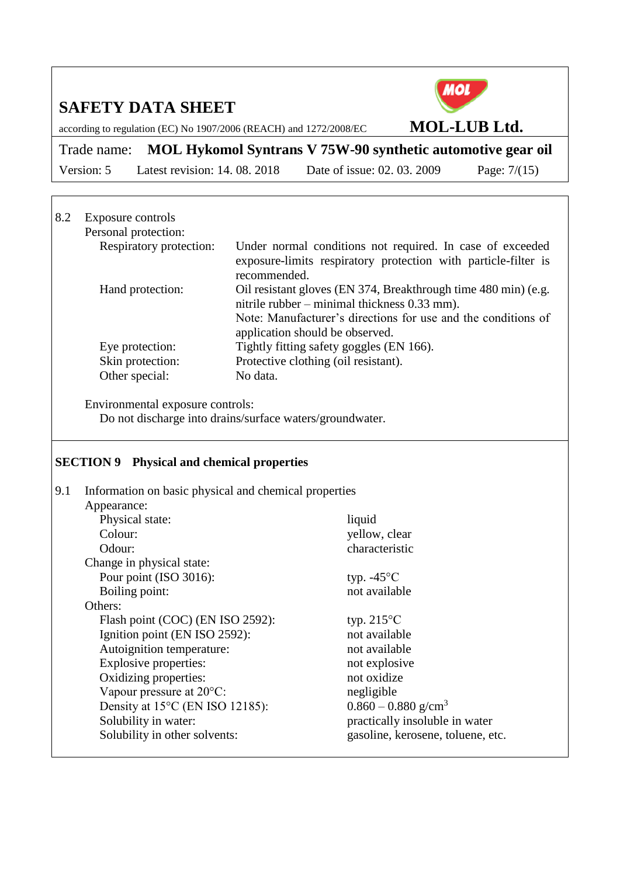

according to regulation (EC) No 1907/2006 (REACH) and 1272/2008/EC **MOL-LUB Ltd.**

Trade name: **MOL Hykomol Syntrans V 75W-90 synthetic automotive gear oil** Version: 5 Latest revision: 14. 08. 2018 Date of issue: 02. 03. 2009 Page: 7/(15)

#### 8.2 Exposure controls Personal protection:<br>Respiratory protection: Under normal conditions not required. In case of exceeded exposure-limits respiratory protection with particle-filter is recommended. Hand protection: Oil resistant gloves (EN 374, Breakthrough time 480 min) (e.g. nitrile rubber – minimal thickness 0.33 mm). Note: Manufacturer's directions for use and the conditions of application should be observed. Eye protection: Tightly fitting safety goggles (EN 166). Skin protection: Protective clothing (oil resistant). Other special: No data.

Environmental exposure controls: Do not discharge into drains/surface waters/groundwater.

#### **SECTION 9 Physical and chemical properties**

| 9.1 | Information on basic physical and chemical properties |                                   |
|-----|-------------------------------------------------------|-----------------------------------|
|     | Appearance:                                           |                                   |
|     | Physical state:                                       | liquid                            |
|     | Colour:                                               | yellow, clear                     |
|     | Odour:                                                | characteristic                    |
|     | Change in physical state:                             |                                   |
|     | Pour point (ISO 3016):                                | typ. $-45^{\circ}$ C              |
|     | Boiling point:                                        | not available                     |
|     | Others:                                               |                                   |
|     | Flash point (COC) (EN ISO 2592):                      | typ. $215^{\circ}$ C              |
|     | Ignition point (EN ISO 2592):                         | not available                     |
|     | Autoignition temperature:                             | not available                     |
|     | Explosive properties:                                 | not explosive                     |
|     | Oxidizing properties:                                 | not oxidize                       |
|     | Vapour pressure at 20°C:                              | negligible                        |
|     | Density at 15°C (EN ISO 12185):                       | $0.860 - 0.880$ g/cm <sup>3</sup> |
|     | Solubility in water:                                  | practically insoluble in water    |
|     | Solubility in other solvents:                         | gasoline, kerosene, toluene, etc. |
|     |                                                       |                                   |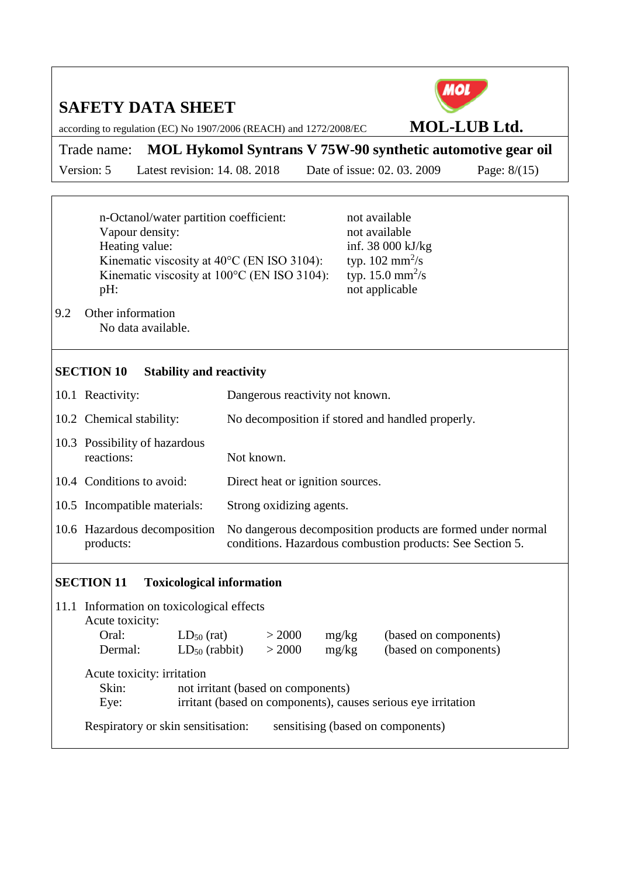according to regulation (EC) No 1907/2006 (REACH) and 1272/2008/EC **MOL-LUB Ltd.**

Trade name: **MOL Hykomol Syntrans V 75W-90 synthetic automotive gear oil** Version: 5 Latest revision: 14. 08. 2018 Date of issue: 02. 03. 2009 Page: 8/(15)

n-Octanol/water partition coefficient: not available Vapour density:<br>
Heating value:<br>
inf. 38 000 kJ Kinematic viscosity at  $40^{\circ}$ C (EN ISO 3104): Kinematic viscosity at  $100^{\circ}$ C (EN ISO 3104): pH: not applicable

inf. 38 000 kJ/kg typ.  $102 \text{ mm}^2/\text{s}$ typ. 15.0 mm<sup>2</sup>/s

9.2 Other information No data available.

#### **SECTION 10 Stability and reactivity**

| 10.1 Reactivity:                            | Dangerous reactivity not known.                                                                                          |  |  |
|---------------------------------------------|--------------------------------------------------------------------------------------------------------------------------|--|--|
| 10.2 Chemical stability:                    | No decomposition if stored and handled properly.                                                                         |  |  |
| 10.3 Possibility of hazardous<br>reactions: | Not known.                                                                                                               |  |  |
| 10.4 Conditions to avoid:                   | Direct heat or ignition sources.                                                                                         |  |  |
| 10.5 Incompatible materials:                | Strong oxidizing agents.                                                                                                 |  |  |
| 10.6 Hazardous decomposition<br>products:   | No dangerous decomposition products are formed under normal<br>conditions. Hazardous combustion products: See Section 5. |  |  |
|                                             |                                                                                                                          |  |  |

#### **SECTION 11 Toxicological information**

| 11.1 Information on toxicological effects                                                                                                          |                                    |        |       |                                   |  |
|----------------------------------------------------------------------------------------------------------------------------------------------------|------------------------------------|--------|-------|-----------------------------------|--|
| Acute toxicity:                                                                                                                                    |                                    |        |       |                                   |  |
| Oral:                                                                                                                                              | $LD_{50}$ (rat)                    | > 2000 | mg/kg | (based on components)             |  |
| Dermal:                                                                                                                                            | $LD_{50}$ (rabbit)                 | > 2000 | mg/kg | (based on components)             |  |
| Acute toxicity: irritation<br>Skin:<br>not irritant (based on components)<br>irritant (based on components), causes serious eye irritation<br>Eye: |                                    |        |       |                                   |  |
|                                                                                                                                                    | Respiratory or skin sensitisation: |        |       | sensitising (based on components) |  |

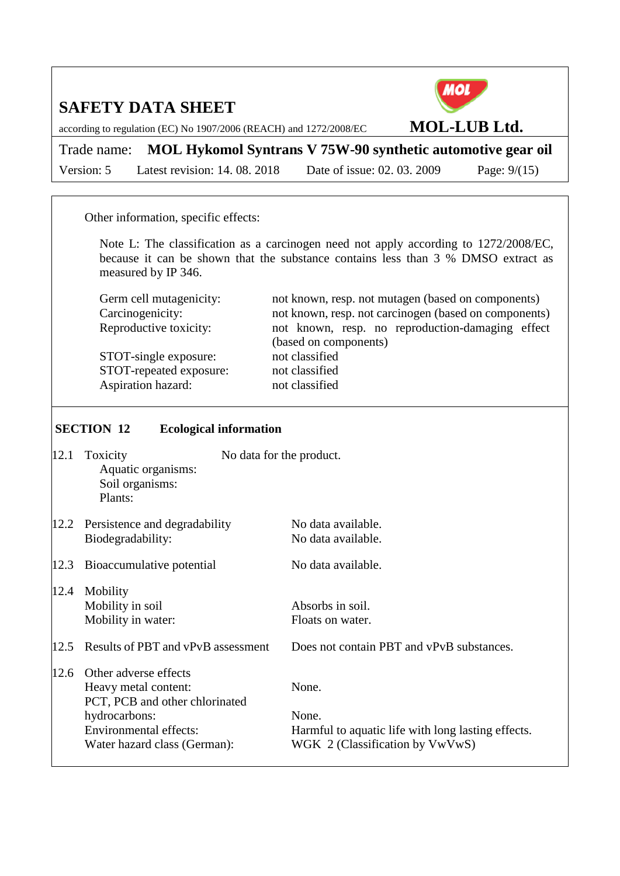

according to regulation (EC) No 1907/2006 (REACH) and 1272/2008/EC **MOL-LUB Ltd.**

Trade name: **MOL Hykomol Syntrans V 75W-90 synthetic automotive gear oil** Version: 5 Latest revision: 14. 08. 2018 Date of issue: 02. 03. 2009 Page: 9/(15)

Other information, specific effects:

Note L: The classification as a carcinogen need not apply according to 1272/2008/EC, because it can be shown that the substance contains less than 3 % DMSO extract as measured by IP 346.

| Germ cell mutagenicity: | not known, resp. not mutagen (based on components)    |
|-------------------------|-------------------------------------------------------|
| Carcinogenicity:        | not known, resp. not carcinogen (based on components) |
| Reproductive toxicity:  | not known, resp. no reproduction-damaging effect      |
|                         | (based on components)                                 |
| STOT-single exposure:   | not classified                                        |
| STOT-repeated exposure: | not classified                                        |
| Aspiration hazard:      | not classified                                        |

#### **SECTION 12 Ecological information**

| 12.1 | Toxicity<br>Aquatic organisms:<br>Soil organisms:<br>Plants:                                                                                                      | No data for the product. |                                                                                                         |
|------|-------------------------------------------------------------------------------------------------------------------------------------------------------------------|--------------------------|---------------------------------------------------------------------------------------------------------|
|      | 12.2 Persistence and degradability<br>Biodegradability:                                                                                                           |                          | No data available.<br>No data available.                                                                |
| 12.3 | Bioaccumulative potential                                                                                                                                         |                          | No data available.                                                                                      |
| 12.4 | Mobility<br>Mobility in soil<br>Mobility in water:                                                                                                                |                          | Absorbs in soil.<br>Floats on water.                                                                    |
| 12.5 | Results of PBT and vPvB assessment                                                                                                                                |                          | Does not contain PBT and vPvB substances.                                                               |
| 12.6 | Other adverse effects<br>Heavy metal content:<br>PCT, PCB and other chlorinated<br>hydrocarbons:<br><b>Environmental effects:</b><br>Water hazard class (German): |                          | None.<br>None.<br>Harmful to aquatic life with long lasting effects.<br>WGK 2 (Classification by VwVwS) |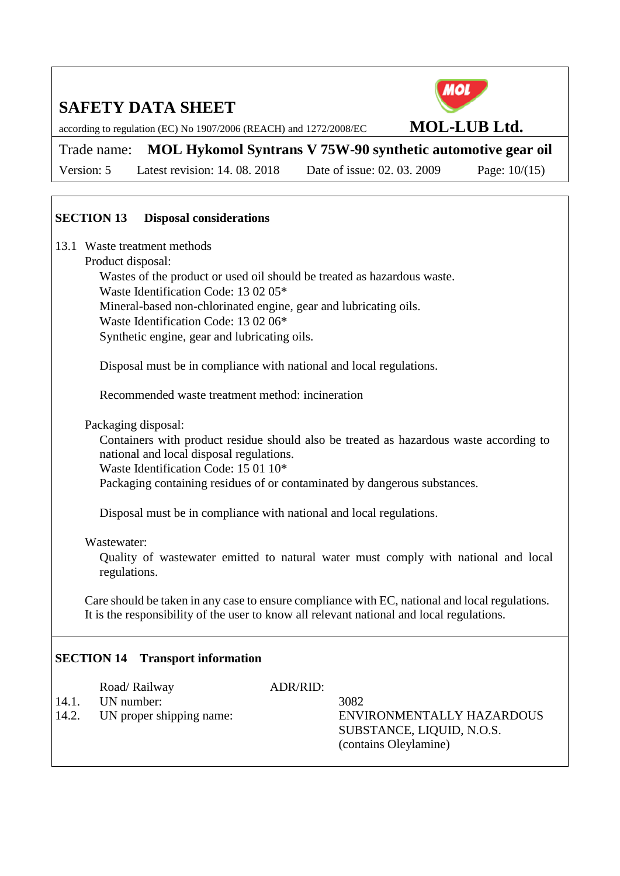

according to regulation (EC) No 1907/2006 (REACH) and 1272/2008/EC **MOL-LUB Ltd.**

Trade name: **MOL Hykomol Syntrans V 75W-90 synthetic automotive gear oil**

Version: 5 Latest revision: 14. 08. 2018 Date of issue: 02. 03. 2009 Page: 10/(15)

### **SECTION 13 Disposal considerations**

13.1 Waste treatment methods

#### Product disposal:

Wastes of the product or used oil should be treated as hazardous waste. Waste Identification Code: 13 02 05\* Mineral-based non-chlorinated engine, gear and lubricating oils. Waste Identification Code: 13 02 06\* Synthetic engine, gear and lubricating oils.

Disposal must be in compliance with national and local regulations.

Recommended waste treatment method: incineration

Packaging disposal:

Containers with product residue should also be treated as hazardous waste according to national and local disposal regulations.

Waste Identification Code: 15 01 10\*

Packaging containing residues of or contaminated by dangerous substances.

Disposal must be in compliance with national and local regulations.

#### Wastewater:

Quality of wastewater emitted to natural water must comply with national and local regulations.

Care should be taken in any case to ensure compliance with EC, national and local regulations. It is the responsibility of the user to know all relevant national and local regulations.

### **SECTION 14 Transport information**

| 14.1.<br>14.2. | Road/Railway<br>UN number:<br>UN proper shipping name: | ADR/RID: | 3082<br>ENVIRONMENTALLY HAZARDOUS<br>SUBSTANCE, LIQUID, N.O.S.<br>(contains Oleylamine) |
|----------------|--------------------------------------------------------|----------|-----------------------------------------------------------------------------------------|
|                |                                                        |          |                                                                                         |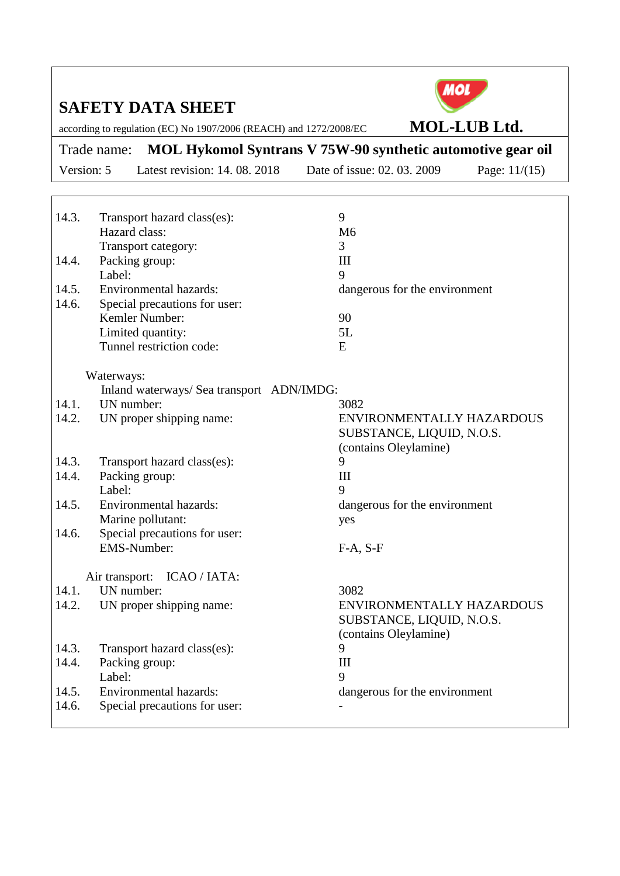

according to regulation (EC) No 1907/2006 (REACH) and 1272/2008/EC **MOL-LUB Ltd.**

Trade name: **MOL Hykomol Syntrans V 75W-90 synthetic automotive gear oil** Version: 5 Latest revision: 14. 08. 2018 Date of issue: 02. 03. 2009 Page: 11/(15)

14.3. Transport hazard class(es): 9 Hazard class: M6 Transport category: 3 14.4. Packing group: III Label: 9 14.5. Environmental hazards: dangerous for the environment 14.6. Special precautions for user: Kemler Number: 90 Limited quantity: 5L Tunnel restriction code: E Waterways: Inland waterways/ Sea transport ADN/IMDG: 14.1. UN number: 3082 14.2. UN proper shipping name: ENVIRONMENTALLY HAZARDOUS SUBSTANCE, LIQUID, N.O.S. (contains Oleylamine) 14.3. Transport hazard class(es): 9 14.4. Packing group: III Label: 9 14.5. Environmental hazards: dangerous for the environment Marine pollutant: yes 14.6. Special precautions for user: EMS-Number: F-A, S-F Air transport: ICAO / IATA: 14.1. UN number: 3082 14.2. UN proper shipping name: ENVIRONMENTALLY HAZARDOUS SUBSTANCE, LIQUID, N.O.S. (contains Oleylamine) 14.3. Transport hazard class(es): 9 14.4. Packing group: III Label: 9 14.5. Environmental hazards: dangerous for the environment 14.6. Special precautions for user: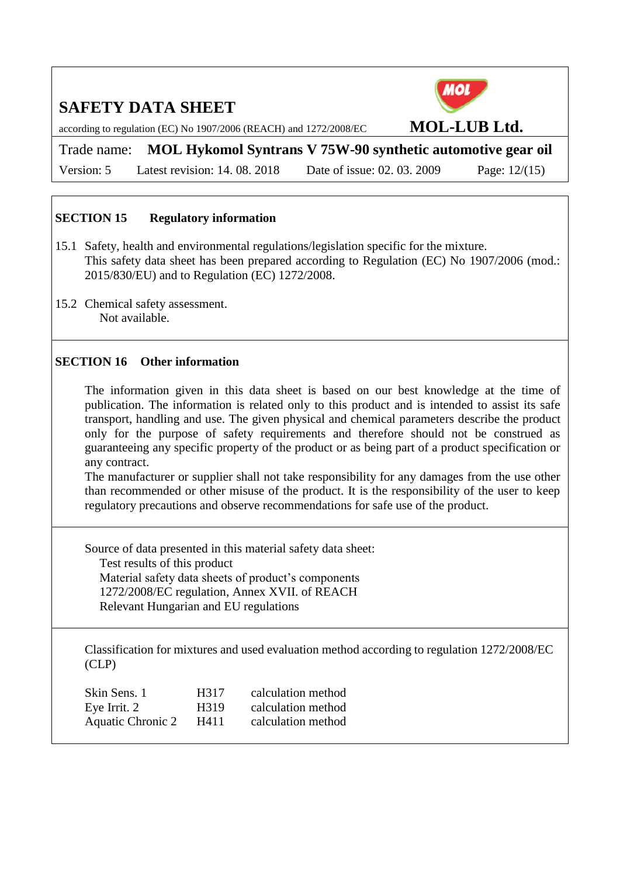

according to regulation (EC) No 1907/2006 (REACH) and 1272/2008/EC **MOL-LUB Ltd.**

Trade name: **MOL Hykomol Syntrans V 75W-90 synthetic automotive gear oil**

Version: 5 Latest revision: 14. 08. 2018 Date of issue: 02. 03. 2009 Page: 12/(15)

#### **SECTION 15 Regulatory information**

- 15.1 Safety, health and environmental regulations/legislation specific for the mixture. This safety data sheet has been prepared according to Regulation (EC) No 1907/2006 (mod.: 2015/830/EU) and to Regulation (EC) 1272/2008.
- 15.2 Chemical safety assessment. Not available.

#### **SECTION 16 Other information**

The information given in this data sheet is based on our best knowledge at the time of publication. The information is related only to this product and is intended to assist its safe transport, handling and use. The given physical and chemical parameters describe the product only for the purpose of safety requirements and therefore should not be construed as guaranteeing any specific property of the product or as being part of a product specification or any contract.

The manufacturer or supplier shall not take responsibility for any damages from the use other than recommended or other misuse of the product. It is the responsibility of the user to keep regulatory precautions and observe recommendations for safe use of the product.

Source of data presented in this material safety data sheet: Test results of this product Material safety data sheets of product's components 1272/2008/EC regulation, Annex XVII. of REACH Relevant Hungarian and EU regulations

Classification for mixtures and used evaluation method according to regulation 1272/2008/EC (CLP)

| Skin Sens. 1      | H317              | calculation method |
|-------------------|-------------------|--------------------|
| Eye Irrit. 2      | H <sub>3</sub> 19 | calculation method |
| Aquatic Chronic 2 | H411              | calculation method |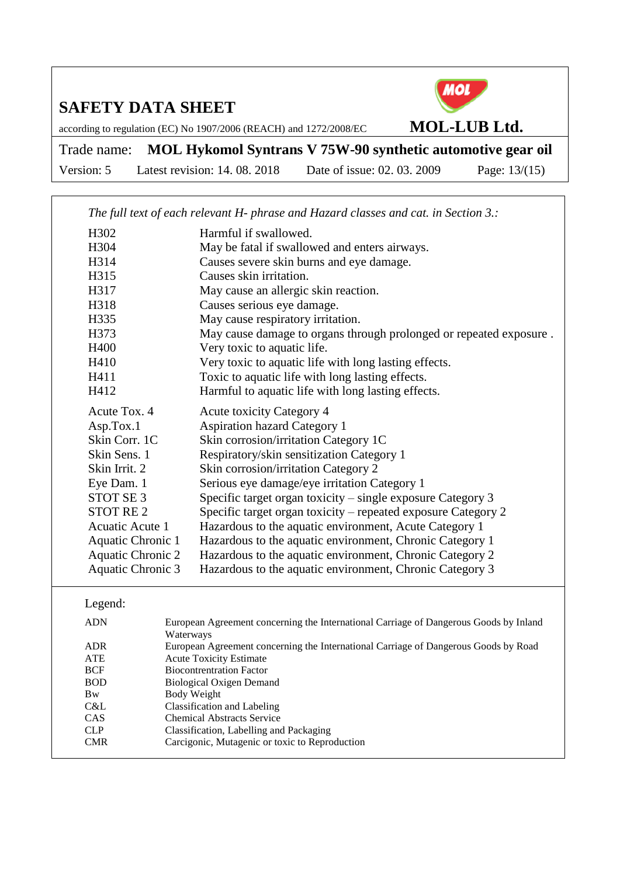

according to regulation (EC) No 1907/2006 (REACH) and 1272/2008/EC **MOL-LUB Ltd.**

Trade name: **MOL Hykomol Syntrans V 75W-90 synthetic automotive gear oil** Version: 5 Latest revision: 14. 08. 2018 Date of issue: 02. 03. 2009 Page: 13/(15)

|                          |                                                                                                                       | The full text of each relevant H- phrase and Hazard classes and cat. in Section 3.: |  |  |
|--------------------------|-----------------------------------------------------------------------------------------------------------------------|-------------------------------------------------------------------------------------|--|--|
| H302                     |                                                                                                                       | Harmful if swallowed.                                                               |  |  |
| H304                     |                                                                                                                       | May be fatal if swallowed and enters airways.                                       |  |  |
| H314                     |                                                                                                                       | Causes severe skin burns and eye damage.                                            |  |  |
| H315                     |                                                                                                                       | Causes skin irritation.                                                             |  |  |
| H317                     |                                                                                                                       | May cause an allergic skin reaction.                                                |  |  |
| H318                     |                                                                                                                       | Causes serious eye damage.                                                          |  |  |
| H335                     |                                                                                                                       | May cause respiratory irritation.                                                   |  |  |
| H373                     |                                                                                                                       | May cause damage to organs through prolonged or repeated exposure.                  |  |  |
| H400                     |                                                                                                                       | Very toxic to aquatic life.                                                         |  |  |
| H410                     |                                                                                                                       | Very toxic to aquatic life with long lasting effects.                               |  |  |
| H411                     |                                                                                                                       | Toxic to aquatic life with long lasting effects.                                    |  |  |
| H412                     |                                                                                                                       | Harmful to aquatic life with long lasting effects.                                  |  |  |
| Acute Tox. 4             |                                                                                                                       | <b>Acute toxicity Category 4</b>                                                    |  |  |
| Asp.Tox.1                |                                                                                                                       | <b>Aspiration hazard Category 1</b>                                                 |  |  |
| Skin Corr. 1C            |                                                                                                                       | Skin corrosion/irritation Category 1C                                               |  |  |
| Skin Sens. 1             |                                                                                                                       | Respiratory/skin sensitization Category 1                                           |  |  |
| Skin Irrit. 2            |                                                                                                                       | Skin corrosion/irritation Category 2                                                |  |  |
| Eye Dam. 1               |                                                                                                                       | Serious eye damage/eye irritation Category 1                                        |  |  |
| STOT SE <sub>3</sub>     |                                                                                                                       | Specific target organ toxicity – single exposure Category 3                         |  |  |
| <b>STOT RE2</b>          |                                                                                                                       | Specific target organ toxicity - repeated exposure Category 2                       |  |  |
| Acuatic Acute 1          |                                                                                                                       | Hazardous to the aquatic environment, Acute Category 1                              |  |  |
| Aquatic Chronic 1        |                                                                                                                       | Hazardous to the aquatic environment, Chronic Category 1                            |  |  |
| <b>Aquatic Chronic 2</b> |                                                                                                                       | Hazardous to the aquatic environment, Chronic Category 2                            |  |  |
| <b>Aquatic Chronic 3</b> |                                                                                                                       | Hazardous to the aquatic environment, Chronic Category 3                            |  |  |
| Legend:                  |                                                                                                                       |                                                                                     |  |  |
| <b>ADN</b>               | European Agreement concerning the International Carriage of Dangerous Goods by Inland                                 |                                                                                     |  |  |
|                          | Waterways                                                                                                             |                                                                                     |  |  |
| <b>ADR</b><br><b>ATE</b> | European Agreement concerning the International Carriage of Dangerous Goods by Road<br><b>Acute Toxicity Estimate</b> |                                                                                     |  |  |
| <b>BCF</b>               | <b>Biocontrentration Factor</b>                                                                                       |                                                                                     |  |  |
| <b>BOD</b>               |                                                                                                                       | <b>Biological Oxigen Demand</b>                                                     |  |  |

C&L Classification and Labeling CAS Chemical Abstracts Service

Bw Body Weight

- CLP Classification, Labelling and Packaging
- CMR Carcigonic, Mutagenic or toxic to Reproduction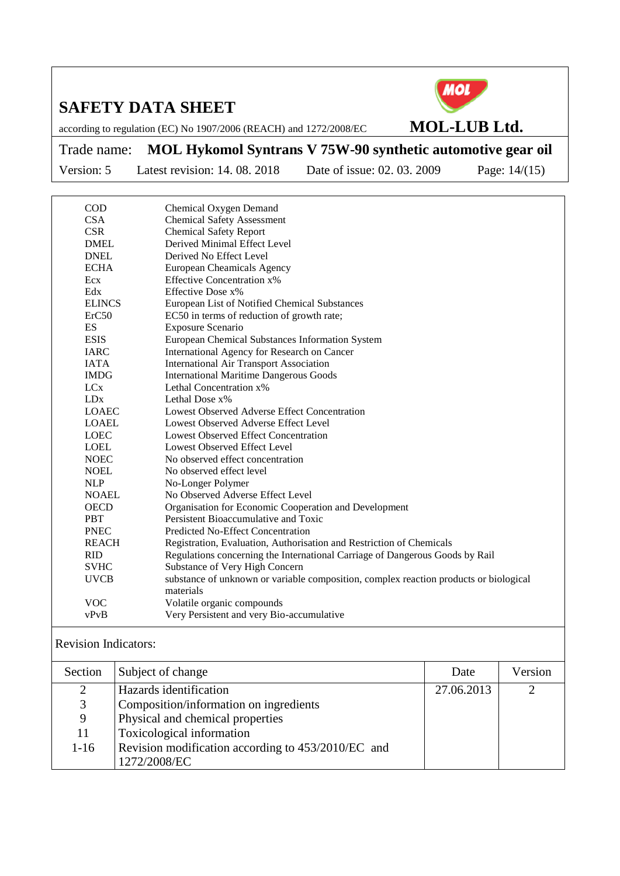

according to regulation (EC) No 1907/2006 (REACH) and 1272/2008/EC **MOL-LUB Ltd.**

Trade name: **MOL Hykomol Syntrans V 75W-90 synthetic automotive gear oil**

Version: 5 Latest revision: 14. 08. 2018 Date of issue: 02. 03. 2009 Page: 14/(15)

| <b>COD</b>    | Chemical Oxygen Demand                                                                |
|---------------|---------------------------------------------------------------------------------------|
| <b>CSA</b>    | <b>Chemical Safety Assessment</b>                                                     |
| <b>CSR</b>    | <b>Chemical Safety Report</b>                                                         |
| <b>DMEL</b>   | Derived Minimal Effect Level                                                          |
| <b>DNEL</b>   | Derived No Effect Level                                                               |
| <b>ECHA</b>   | <b>European Cheamicals Agency</b>                                                     |
| Ecx           | <b>Effective Concentration x%</b>                                                     |
| Edx           | Effective Dose x%                                                                     |
| <b>ELINCS</b> | European List of Notified Chemical Substances                                         |
| ErC50         | EC50 in terms of reduction of growth rate;                                            |
| <b>ES</b>     | <b>Exposure Scenario</b>                                                              |
| <b>ESIS</b>   | European Chemical Substances Information System                                       |
| <b>IARC</b>   | International Agency for Research on Cancer                                           |
| <b>IATA</b>   | <b>International Air Transport Association</b>                                        |
| <b>IMDG</b>   | <b>International Maritime Dangerous Goods</b>                                         |
| <b>LCx</b>    | Lethal Concentration x%                                                               |
| LDx           | Lethal Dose x%                                                                        |
| <b>LOAEC</b>  | Lowest Observed Adverse Effect Concentration                                          |
| <b>LOAEL</b>  | Lowest Observed Adverse Effect Level                                                  |
| <b>LOEC</b>   | <b>Lowest Observed Effect Concentration</b>                                           |
| LOEL          | Lowest Observed Effect Level                                                          |
| <b>NOEC</b>   | No observed effect concentration                                                      |
| <b>NOEL</b>   | No observed effect level                                                              |
| <b>NLP</b>    | No-Longer Polymer                                                                     |
| <b>NOAEL</b>  | No Observed Adverse Effect Level                                                      |
| <b>OECD</b>   | Organisation for Economic Cooperation and Development                                 |
| <b>PBT</b>    | Persistent Bioaccumulative and Toxic                                                  |
| <b>PNEC</b>   | Predicted No-Effect Concentration                                                     |
| <b>REACH</b>  | Registration, Evaluation, Authorisation and Restriction of Chemicals                  |
| <b>RID</b>    | Regulations concerning the International Carriage of Dangerous Goods by Rail          |
| <b>SVHC</b>   | Substance of Very High Concern                                                        |
| <b>UVCB</b>   | substance of unknown or variable composition, complex reaction products or biological |
|               | materials                                                                             |
| <b>VOC</b>    | Volatile organic compounds                                                            |
| vPvB          | Very Persistent and very Bio-accumulative                                             |
|               |                                                                                       |

Revision Indicators:

| Section        | Subject of change                                  | Date       | Version |
|----------------|----------------------------------------------------|------------|---------|
| $\overline{2}$ | Hazards identification                             | 27.06.2013 |         |
| 3              | Composition/information on ingredients             |            |         |
| 9              | Physical and chemical properties                   |            |         |
| 11             | Toxicological information                          |            |         |
| $1 - 16$       | Revision modification according to 453/2010/EC and |            |         |
|                | 1272/2008/EC                                       |            |         |